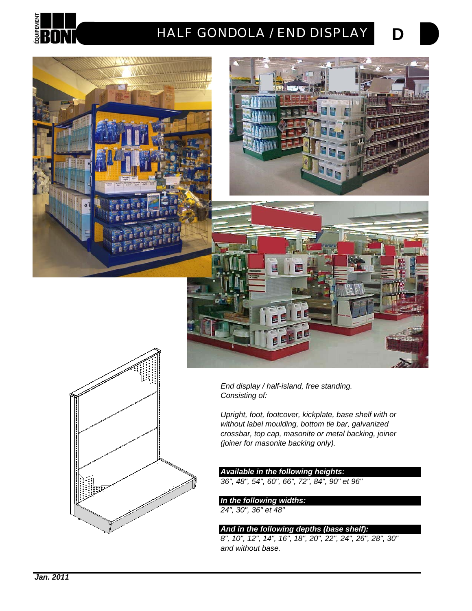

# *HALF GONDOLA / END DISPLAY*





**D**





*End display / half-island, free standing. Consisting of:*

*Upright, foot, footcover, kickplate, base shelf with or without label moulding, bottom tie bar, galvanized crossbar, top cap, masonite or metal backing, joiner (joiner for masonite backing only).*

### *Available in the following heights:*

*36", 48", 54", 60", 66", 72", 84", 90" et 96"*

*In the following widths: 24", 30", 36" et 48"*

### *And in the following depths (base shelf):*

*8", 10", 12", 14", 16", 18", 20", 22", 24", 26", 28", 30" and without base.*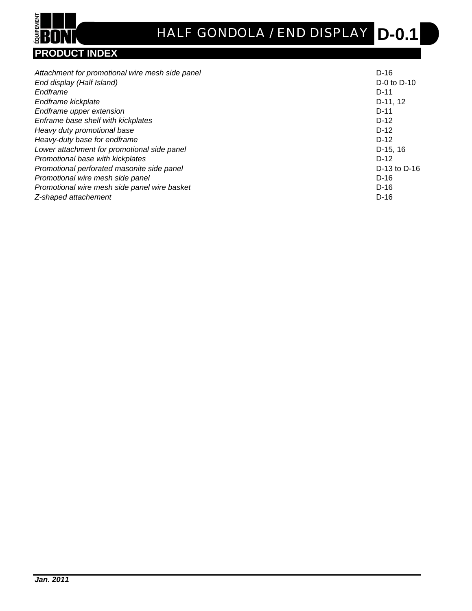

# **D-0.1** *HALF GONDOLA / END DISPLAY*

|                                                 | $D-16$          |
|-------------------------------------------------|-----------------|
| Attachment for promotional wire mesh side panel |                 |
| End display (Half Island)                       | $D-0$ to $D-10$ |
| Endframe                                        | $D-11$          |
| Endframe kickplate                              | D-11, 12        |
| Endframe upper extension                        | $D-11$          |
| Enframe base shelf with kickplates              | $D-12$          |
| Heavy duty promotional base                     | $D-12$          |
| Heavy-duty base for endframe                    | $D-12$          |
| Lower attachment for promotional side panel     | $D-15.16$       |
| Promotional base with kickplates                | $D-12$          |
| Promotional perforated masonite side panel      | D-13 to D-16    |
| Promotional wire mesh side panel                | $D-16$          |
| Promotional wire mesh side panel wire basket    | $D-16$          |
| Z-shaped attachement                            | $D-16$          |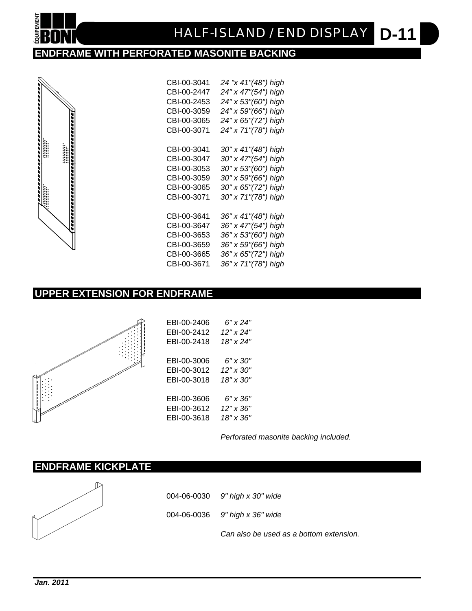

# **ENDFRAME WITH PERFORATED MASONITE BACKING**



| CBI-00-3041 | 24 "x 41"(48") high |
|-------------|---------------------|
| CBI-00-2447 | 24" x 47"(54") high |
| CBI-00-2453 | 24" x 53"(60") high |
| CBI-00-3059 | 24" x 59"(66") high |
| CBI-00-3065 | 24" x 65"(72") high |
| CBI-00-3071 | 24" x 71"(78") high |
| CBI-00-3041 | 30" x 41"(48") high |
| CBI-00-3047 | 30" x 47"(54") high |
| CBI-00-3053 | 30" x 53"(60") high |
| CBI-00-3059 | 30" x 59"(66") high |
| CBI-00-3065 | 30" x 65"(72") high |
| CBI-00-3071 | 30" x 71"(78") high |
| CBI-00-3641 | 36" x 41"(48") high |
| CBI-00-3647 | 36" x 47"(54") high |
|             |                     |
| CBI-00-3653 | 36" x 53"(60") high |
| CBI-00-3659 | 36" x 59"(66") high |
| CBI-00-3665 | 36" x 65"(72") high |
| CBI-00-3671 | 36" x 71"(78") high |

# **UPPER EXTENSION FOR ENDFRAME**



| EBI-00-2406 | 6" x 24"           |
|-------------|--------------------|
| EBI-00-2412 | 12" x 24"          |
| EBI-00-2418 | 18" x 24"          |
|             |                    |
| EBI-00-3006 | 6" x 30"           |
| EBI-00-3012 | $12'' \times 30''$ |
| EBI-00-3018 | 18" x 30"          |
|             |                    |
| EBI-00-3606 | 6" x 36"           |
| EBI-00-3612 | $12" \times 36"$   |
| EBI-00-3618 | 18" x 36"          |

*Perforated masonite backing included.*

## **ENDFRAME KICKPLATE**



| 004-06-0030 9" high x 30" wide   |
|----------------------------------|
| 004-06-0036 $9"$ high x 36" wide |

*Can also be used as a bottom extension.*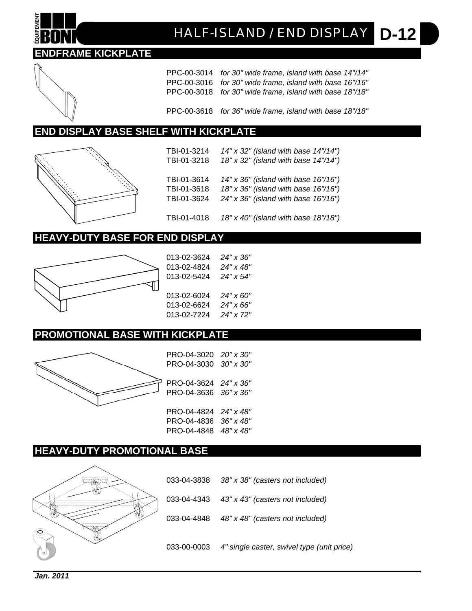# **D-12** *HALF-ISLAND / END DISPLAY*

## **ENDFRAME KICKPLATE**

PPC-00-3014 *for 30" wide frame, island with base 14"/14"* PPC-00-3016 *for 30" wide frame, island with base 16"/16"* PPC-00-3018 *for 30" wide frame, island with base 18"/18"*

PPC-00-3618 *for 36" wide frame, island with base 18"/18"*

### **END DISPLAY BASE SHELF WITH KICKPLATE**



TBI-01-3214 *14" x 32" (island with base 14"/14")* TBI-01-3218 *18" x 32" (island with base 14"/14")* TBI-01-3614 *14" x 36" (island with base 16"/16")* TBI-01-3618 *18" x 36" (island with base 16"/16")* TBI-01-3624 *24" x 36" (island with base 16"/16")*

TBI-01-4018 *18" x 40" (island with base 18"/18")*

### **HEAVY-DUTY BASE FOR END DISPLAY**



013-02-3624 *24" x 36"* 013-02-4824 *24" x 48"* 013-02-5424 *24" x 54"* 013-02-6024 *24" x 60"* 013-02-6624 *24" x 66"* 013-02-7224 *24" x 72"*

### **PROMOTIONAL BASE WITH KICKPLATE**



PRO-04-3020 *20" x 30"* PRO-04-3030 *30" x 30"* PRO-04-3624 *24" x 36"* PRO-04-3636 *36" x 36"* PRO-04-4824 *24" x 48"* PRO-04-4836 *36" x 48"* PRO-04-4848 *48" x 48"*

### **HEAVY-DUTY PROMOTIONAL BASE**



033-04-3838 *38" x 38" (casters not included)* 033-04-4343 *43" x 43" (casters not included)* 033-04-4848 *48" x 48" (casters not included)* 033-00-0003 *4" single caster, swivel type (unit price)*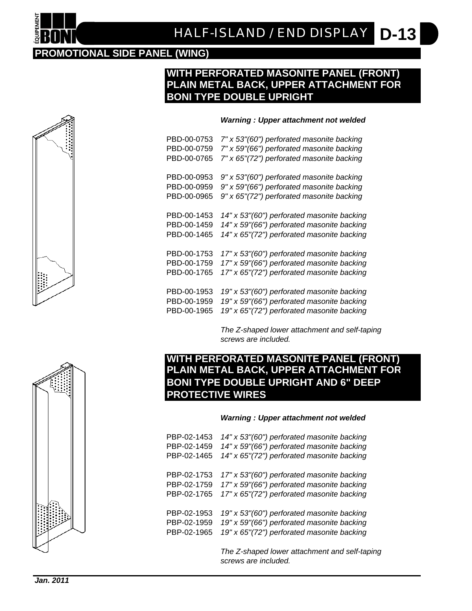#### **D-13** *HALF-ISLAND / END DISPLAY*

## **PROMOTIONAL SIDE PANEL (WING)**

### **WITH PERFORATED MASONITE PANEL (FRONT) PLAIN METAL BACK, UPPER ATTACHMENT FOR BONI TYPE DOUBLE UPRIGHT**

### *Warning : Upper attachment not welded*

PBD-00-0753 *7" x 53"(60") perforated masonite backing* PBD-00-0759 *7" x 59"(66") perforated masonite backing* PBD-00-0765 *7" x 65"(72") perforated masonite backing* PBD-00-0953 *9" x 53"(60") perforated masonite backing* PBD-00-0959 *9" x 59"(66") perforated masonite backing* PBD-00-0965 *9" x 65"(72") perforated masonite backing* PBD-00-1453 *14" x 53"(60") perforated masonite backing* PBD-00-1459 *14" x 59"(66") perforated masonite backing* PBD-00-1465 *14" x 65"(72") perforated masonite backing* PBD-00-1753 *17" x 53"(60") perforated masonite backing* PBD-00-1759 *17" x 59"(66") perforated masonite backing* PBD-00-1765 *17" x 65"(72") perforated masonite backing* PBD-00-1953 *19" x 53"(60") perforated masonite backing* PBD-00-1959 *19" x 59"(66") perforated masonite backing* PBD-00-1965 *19" x 65"(72") perforated masonite backing*

> *The Z-shaped lower attachment and self-taping screws are included.*

# **WITH PERFORATED MASONITE PANEL (FRONT) PLAIN METAL BACK, UPPER ATTACHMENT FOR BONI TYPE DOUBLE UPRIGHT AND 6" DEEP PROTECTIVE WIRES**

### *Warning : Upper attachment not welded*

| PBP-02-1453 | 14" x 53"(60") perforated masonite backing                            |
|-------------|-----------------------------------------------------------------------|
| PBP-02-1459 | 14" x 59"(66") perforated masonite backing                            |
| PBP-02-1465 | 14" x 65"(72") perforated masonite backing                            |
| PBP-02-1753 | 17" x 53"(60") perforated masonite backing                            |
| PBP-02-1759 | 17" x 59"(66") perforated masonite backing                            |
| PBP-02-1765 | 17" x 65"(72") perforated masonite backing                            |
| PBP-02-1953 | 19" x 53"(60") perforated masonite backing                            |
| PBP-02-1959 | 19" x 59"(66") perforated masonite backing                            |
| PBP-02-1965 | 19" x 65"(72") perforated masonite backing                            |
|             | The Z-shaped lower attachment and self-taping<br>screws are included. |



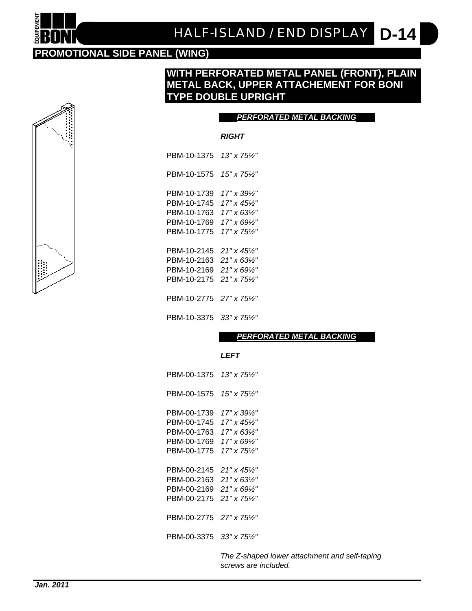#### **D-14** *HALF-ISLAND / END DISPLAY*

## **PROMOTIONAL SIDE PANEL (WING)**

### **WITH PERFORATED METAL PANEL (FRONT), PLAIN METAL BACK, UPPER ATTACHEMENT FOR BONI TYPE DOUBLE UPRIGHT**

### *PERFORATED METAL BACKING*

### *RIGHT*

PBM-10-1375 *13" x 75½"* PBM-10-1575 *15" x 75½"* PBM-10-1739 *17" x 39½"* PBM-10-1745 *17" x 45½"* PBM-10-1763 *17" x 63½"* PBM-10-1769 *17" x 69½"* PBM-10-1775 *17" x 75½"* PBM-10-2145 *21" x 45½"* PBM-10-2163 *21" x 63½"* PBM-10-2169 *21" x 69½"* PBM-10-2175 *21" x 75½"* PBM-10-2775 *27" x 75½"*

PBM-10-3375 *33" x 75½"*

*PERFORATED METAL BACKING*

#### *LEFT*

PBM-00-1375 *13" x 75½"* PBM-00-1575 *15" x 75½"* PBM-00-1739 *17" x 39½"* PBM-00-1745 *17" x 45½"* PBM-00-1763 *17" x 63½"* PBM-00-1769 *17" x 69½"* PBM-00-1775 *17" x 75½"* PBM-00-2145 *21" x 45½"* PBM-00-2163 *21" x 63½"* PBM-00-2169 *21" x 69½"* PBM-00-2175 *21" x 75½"* PBM-00-2775 *27" x 75½"* PBM-00-3375 *33" x 75½"*

> *The Z-shaped lower attachment and self-taping screws are included.*

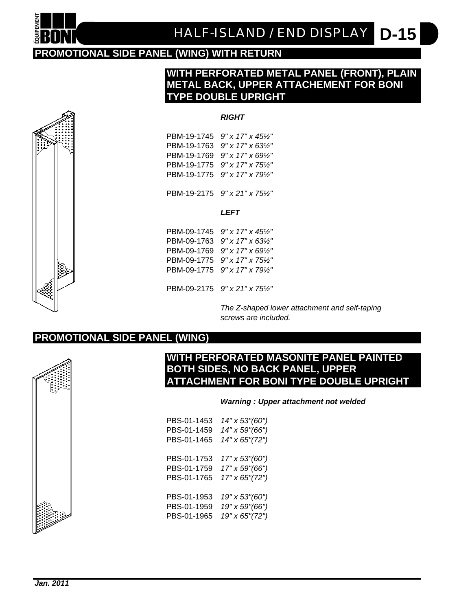

# **PROMOTIONAL SIDE PANEL (WING) WITH RETURN**

### **WITH PERFORATED METAL PANEL (FRONT), PLAIN METAL BACK, UPPER ATTACHEMENT FOR BONI TYPE DOUBLE UPRIGHT**

### *RIGHT*

PBM-19-1745 *9" x 17" x 45½"* PBM-19-1763 *9" x 17" x 63½"* PBM-19-1769 *9" x 17" x 69½"* PBM-19-1775 *9" x 17" x 75½"* PBM-19-1775 *9" x 17" x 79½"*

PBM-19-2175 *9" x 21" x 75½"*

#### *LEFT*

PBM-09-1745 *9" x 17" x 45½"* PBM-09-1763 *9" x 17" x 63½"* PBM-09-1769 *9" x 17" x 69½"* PBM-09-1775 *9" x 17" x 75½"* PBM-09-1775 *9" x 17" x 79½"*

PBM-09-2175 *9" x 21" x 75½"*

*The Z-shaped lower attachment and self-taping screws are included.*

### **PROMOTIONAL SIDE PANEL (WING)**



### **WITH PERFORATED MASONITE PANEL PAINTED BOTH SIDES, NO BACK PANEL, UPPER ATTACHMENT FOR BONI TYPE DOUBLE UPRIGHT**

### *Warning : Upper attachment not welded*

| PBS-01-1453 | 14" x 53"(60") |
|-------------|----------------|
| PBS-01-1459 | 14" x 59"(66") |
| PBS-01-1465 | 14" x 65"(72") |
|             |                |
| PBS-01-1753 | 17" x 53"(60") |
| PBS-01-1759 | 17" x 59"(66") |
| PBS-01-1765 | 17" x 65"(72") |
|             |                |
| PBS-01-1953 | 19" x 53"(60") |
| PBS-01-1959 | 19" x 59"(66") |
| PBS-01-1965 | 19" x 65"(72") |
|             |                |